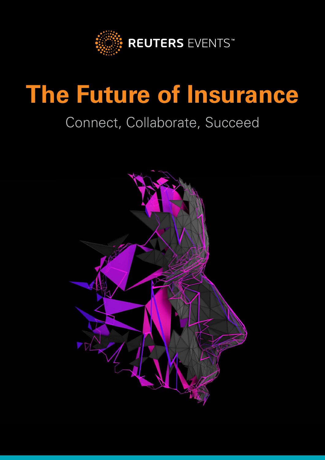

# **The Future of Insurance**

# Connect, Collaborate, Succeed

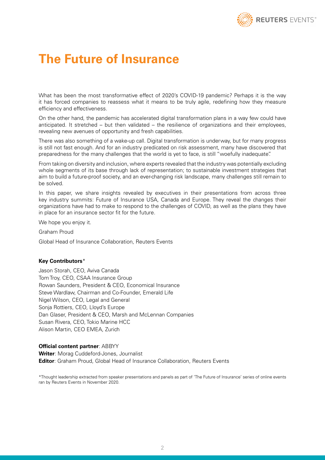

### **The Future of Insurance**

What has been the most transformative effect of 2020's COVID-19 pandemic? Perhaps it is the way it has forced companies to reassess what it means to be truly agile, redefining how they measure efficiency and effectiveness.

On the other hand, the pandemic has accelerated digital transformation plans in a way few could have anticipated. It stretched – but then validated – the resilience of organizations and their employees, revealing new avenues of opportunity and fresh capabilities.

There was also something of a wake-up call. Digital transformation is underway, but for many progress is still not fast enough. And for an industry predicated on risk assessment, many have discovered that preparedness for the many challenges that the world is yet to face, is still "woefully inadequate".

From taking on diversity and inclusion, where experts revealed that the industry was potentially excluding whole segments of its base through lack of representation; to sustainable investment strategies that aim to build a future-proof society, and an ever-changing risk landscape, many challenges still remain to be solved.

In this paper, we share insights revealed by executives in their presentations from across three key industry summits: Future of Insurance USA, Canada and Europe. They reveal the changes their organizations have had to make to respond to the challenges of COVID, as well as the plans they have in place for an insurance sector fit for the future.

We hope you enjoy it.

Graham Proud

Global Head of Insurance Collaboration, Reuters Events

#### **Key Contributors**\*

Jason Storah, CEO, Aviva Canada Tom Troy, CEO, CSAA Insurance Group Rowan Saunders, President & CEO, Economical Insurance Steve Wardlaw, Chairman and Co-Founder, Emerald Life Nigel Wilson, CEO, Legal and General Sonja Rottiers, CEO, Lloyd's Europe Dan Glaser, President & CEO, Marsh and McLennan Companies Susan Rivera, CEO, Tokio Marine HCC Alison Martin, CEO EMEA, Zurich

#### **Official content partner**: ABBYY

**Writer**: Morag Cuddeford-Jones, Journalist **Editor**: Graham Proud, Global Head of Insurance Collaboration, Reuters Events

\*Thought leadership extracted from speaker presentations and panels as part of 'The Future of Insurance' series of online events ran by Reuters Events in November 2020.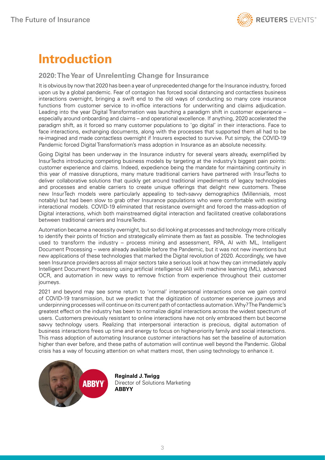## **Introduction**

#### **2020: The Year of Unrelenting Change for Insurance**

It is obvious by now that 2020 has been a year of unprecedented change for the Insurance industry, forced upon us by a global pandemic. Fear of contagion has forced social distancing and contactless business interactions overnight, bringing a swift end to the old ways of conducting so many core insurance functions from customer service to in-office interactions for underwriting and claims adjudication. Leading into the year Digital Transformation was launching a paradigm shift in customer experience – especially around onboarding and claims – and operational excellence. If anything, 2020 accelerated the paradigm shift, as it forced so many customer populations to 'go digital' in their interactions. Face to face interactions, exchanging documents, along with the processes that supported them all had to be re-imagined and made contactless overnight if Insurers expected to survive. Put simply, the COVID-19 Pandemic forced Digital Transformation's mass adoption in Insurance as an absolute necessity.

Going Digital has been underway in the Insurance industry for several years already, exemplified by InsurTechs introducing competing business models by targeting at the industry's biggest pain points: customer experience and claims. Indeed, expedience being the mandate for maintaining continuity in this year of massive disruptions, many mature traditional carriers have partnered with InsurTechs to deliver collaborative solutions that quickly get around traditional impediments of legacy technologies and processes and enable carriers to create unique offerings that delight new customers. These new InsurTech models were particularly appealing to tech-savvy demographics (Millennials, most notably) but had been slow to grab other Insurance populations who were comfortable with existing interactional models. COVID-19 eliminated that resistance overnight and forced the mass-adoption of Digital interactions, which both mainstreamed digital interaction and facilitated creative collaborations between traditional carriers and InsureTechs.

Automation became a necessity overnight, but so did looking at processes and technology more critically to identify their points of friction and strategically eliminate them as fast as possible. The technologies used to transform the industry – process mining and assessment, RPA, AI with ML, Intelligent Document Processing – were already available before the Pandemic, but it was not new inventions but new applications of these technologies that marked the Digital revolution of 2020. Accordingly, we have seen Insurance providers across all major sectors take a serious look at how they can immediately apply Intelligent Document Processing using artificial intelligence (AI) with machine learning (ML), advanced OCR, and automation in new ways to remove friction from experience throughout their customer journeys.

2021 and beyond may see some return to 'normal' interpersonal interactions once we gain control of COVID-19 transmission, but we predict that the digitization of customer experience journeys and underpinning processes will continue on its current path of contactless automation. Why? The Pandemic's greatest effect on the industry has been to normalize digital interactions across the widest spectrum of users. Customers previously resistant to online interactions have not only embraced them but become savvy technology users. Realizing that interpersonal interaction is precious, digital automation of business interactions frees up time and energy to focus on higher-priority family and social interactions. This mass adoption of automating Insurance customer interactions has set the baseline of automation higher than ever before, and these paths of automation will continue well beyond the Pandemic. Global crisis has a way of focusing attention on what matters most, then using technology to enhance it.



**Reginald J. Twigg** Director of Solutions Marketing **ABBYY**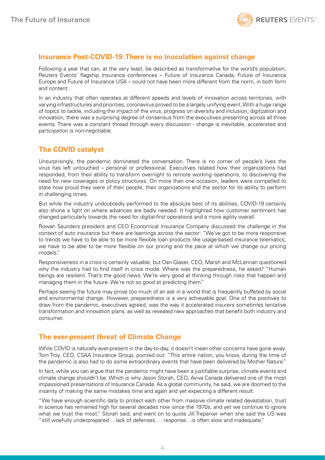

#### **Insurance Post-COVID-19: There is no inoculation against change**

Following a year that can, at the very least, be described as transformative for the world's population, Reuters Events' flagship Insurance conferences – Future of Insurance Canada, Future of Insurance Europe and Future of Insurance USA – could not have been more different from the norm, in both form and content.

In an industry that often operates at different speeds and levels of innovation across territories, with varying infrastructures and priorities, coronavirus proved to be a largely unifying event. With a huge range of topics to tackle, including the impact of the virus, progress on diversity and inclusion, digitization and innovation, there was a surprising degree of consensus from the executives presenting across all three events. There was a constant thread through every discussion - change is inevitable, accelerated and participation is non-negotiable.

#### **The COVID catalyst**

Unsurprisingly, the pandemic dominated the conversation. There is no corner of people's lives the virus has left untouched – personal or professional. Executives related how their organizations had responded, from their ability to transform overnight to remote working operations, to discovering the need for new coverages or policy structures. On more than one occasion, leaders were compelled to state how proud they were of their people, their organizations and the sector for its ability to perform in challenging times.

But while the industry undoubtedly performed to the absolute best of its abilities, COVID-19 certainly also shone a light on where advances are badly needed. It highlighted how customer sentiment has changed particularly towards the need for digital-first operations and a more agility overall.

Rowan Saunders president and CEO Economical Insurance Company discussed the challenge in the context of auto insurance but there are learnings across the sector: "We've got to be more responsive to trends we have to be able to be more flexible loan products like usage-based insurance telematics, we have to be able to be more flexible on our pricing and the pace at which we change our pricing models."

Responsiveness in a crisis is certainly valuable, but Dan Glaser, CEO, Marsh and McLennan questioned why the industry had to find itself in crisis mode. Where was the preparedness, he asked? "Human beings are resilient. That's the good news. We're very good at thinking through risks that happen and managing them in the future. We're not so good at predicting them."

Perhaps seeing the future may prove too much of an ask in a world that is frequently buffeted by social and environmental change. However, preparedness is a very achievable goal. One of the positives to draw from the pandemic, executives agreed, was the way it accelerated insurers sometimes tentative transformation and innovation plans, as well as revealed new approaches that benefit both industry and consumer.

#### **The ever-present threat of Climate Change**

While COVID is naturally ever-present in the day-to-day, it doesn't mean other concerns have gone away. Tom Troy, CEO, CSAA Insurance Group, pointed out: "This entire nation, you know, during the time of the pandemic is also had to do some extraordinary events that have been delivered by Mother Nature."

In fact, while you can argue that the pandemic might have been a justifiable surprise, climate events and climate change shouldn't be. Which is why Jason Storah, CEO, Aviva Canada delivered one of the most impassioned presentations of Insurance Canada. As a global community, he said, we are doomed to the insanity of making the same mistakes time and again and yet expecting a different result.

"We have enough scientific data to protect each other from massive climate related devastation, trust in science has remained high for several decades now since the 1970s, and yet we continue to ignore what we trust the most." Storah said, and went on to quote Jill Trepanier when she said the US was "still woefully underprepared …lack of defenses…. response…is often slow and inadequate."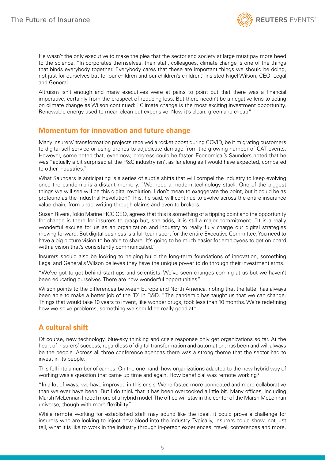

He wasn't the only executive to make the plea that the sector and society at large must pay more heed to the science. "In corporates themselves, their staff, colleagues, climate change is one of the things that binds everybody together. Everybody cares that these are important things we should be doing, not just for ourselves but for our children and our children's children," insisted Nigel Wilson, CEO, Legal and General.

Altruism isn't enough and many executives were at pains to point out that there was a financial imperative, certainly from the prospect of reducing loss. But there needn't be a negative lens to acting on climate change as Wilson continued: "Climate change is the most exciting investment opportunity. Renewable energy used to mean clean but expensive. Now it's clean, green and cheap."

#### **Momentum for innovation and future change**

Many insurers' transformation projects received a rocket boost during COVID, be it migrating customers to digital self-service or using drones to adjudicate damage from the growing number of CAT events. However, some noted that, even now, progress could be faster. Economical's Saunders noted that he was "actually a bit surprised at the P&C industry isn't as far along as I would have expected, compared to other industries."

What Saunders is anticipating is a series of subtle shifts that will compel the industry to keep evolving once the pandemic is a distant memory. "We need a modern technology stack. One of the biggest things we will see will be this digital revolution. I don't mean to exaggerate the point, but it could be as profound as the Industrial Revolution." This, he said, will continue to evolve across the entire insurance value chain, from underwriting through claims and even to brokers.

Susan Rivera, Tokio Marine HCC CEO, agrees that this is something of a tipping point and the opportunity for change is there for insurers to grasp but, she adds, it is still a major commitment. "It is a really wonderful excuse for us as an organization and industry to really fully charge our digital strategies moving forward. But digital business is a full team sport for the entire Executive Committee. You need to have a big picture vision to be able to share. It's going to be much easier for employees to get on board with a vision that's consistently communicated."

Insurers should also be looking to helping build the long-term foundations of innovation, something Legal and General's Wilson believes they have the unique power to do through their investment arms.

"We've got to get behind start-ups and scientists. We've seen changes coming at us but we haven't been educating ourselves. There are now wonderful opportunities."

Wilson points to the differences between Europe and North America, noting that the latter has always been able to make a better job of the 'D' in R&D. "The pandemic has taught us that we can change. Things that would take 10 years to invent, like wonder drugs, took less than 10 months. We're redefining how we solve problems, something we should be really good at."

#### **A cultural shift**

Of course, new technology, blue-sky thinking and crisis response only get organizations so far. At the heart of insurers' success, regardless of digital transformation and automation, has been and will always be the people. Across all three conference agendas there was a strong theme that the sector had to invest in its people.

This fell into a number of camps. On the one hand, how organizations adapted to the new hybrid way of working was a question that came up time and again. How beneficial was remote working?

"In a lot of ways, we have improved in this crisis. We're faster, more connected and more collaborative than we ever have been. But I do think that it has been overcooked a little bit. Many offices, including Marsh McLennan [need] more of a hybrid model. The office will stay in the center of the Marsh McLennan universe, though with more flexibility."

While remote working for established staff may sound like the ideal, it could prove a challenge for insurers who are looking to inject new blood into the industry. Typically, insurers could show, not just tell, what it is like to work in the industry through in-person experiences, travel, conferences and more.